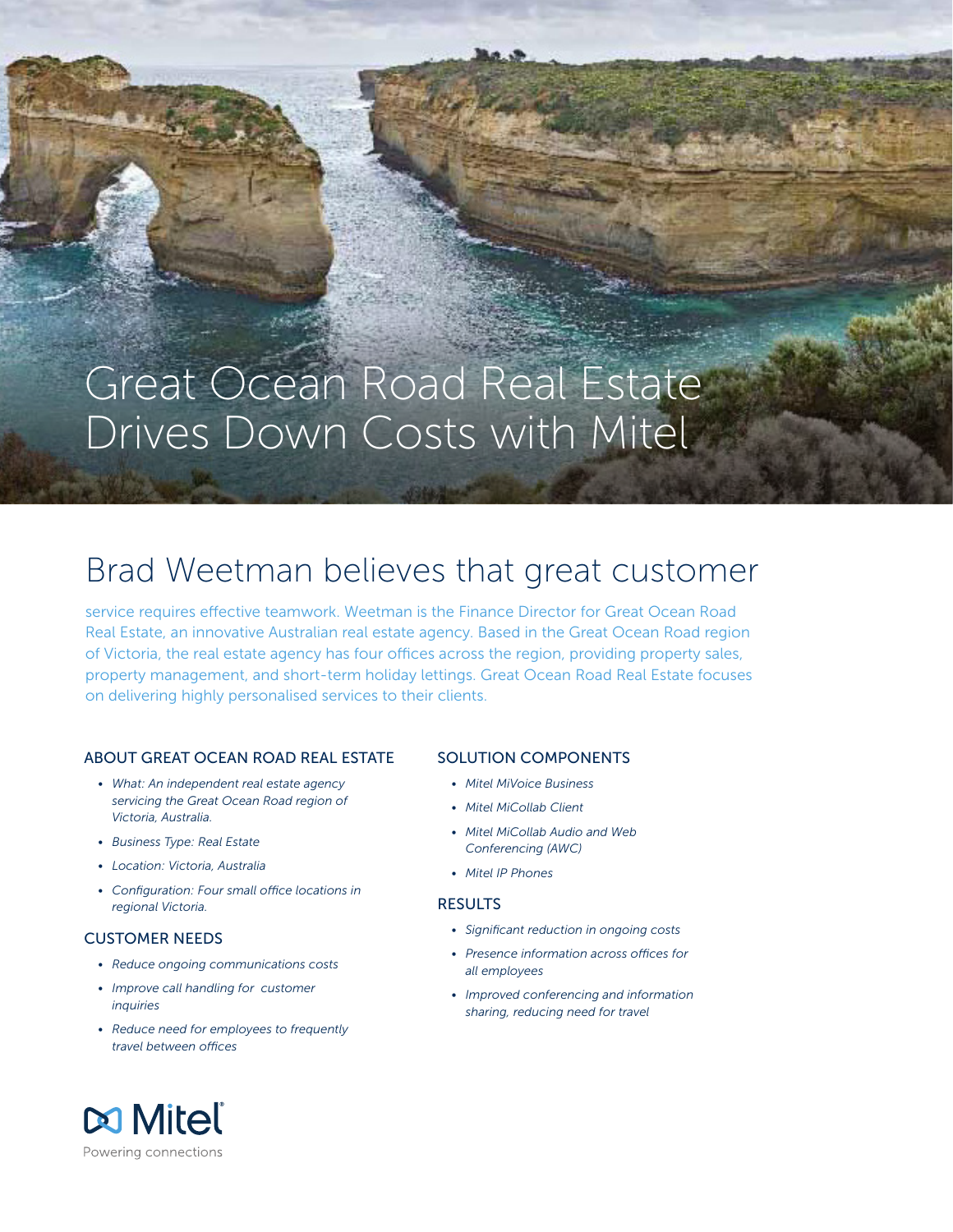# Great Ocean Road Real Estate Drives Down Costs with Mitel

## Brad Weetman believes that great customer

service requires effective teamwork. Weetman is the Finance Director for Great Ocean Road Real Estate, an innovative Australian real estate agency. Based in the Great Ocean Road region of Victoria, the real estate agency has four offices across the region, providing property sales, property management, and short-term holiday lettings. Great Ocean Road Real Estate focuses on delivering highly personalised services to their clients.

#### ABOUT GREAT OCEAN ROAD REAL ESTATE

- *• What: An independent real estate agency servicing the Great Ocean Road region of Victoria, Australia.*
- *• Business Type: Real Estate*
- *• Location: Victoria, Australia*
- *• Configuration: Four small office locations in regional Victoria.*

#### CUSTOMER NEEDS

- *• Reduce ongoing communications costs*
- *• Improve call handling for customer inquiries*
- *• Reduce need for employees to frequently travel between offices*

#### SOLUTION COMPONENTS

- *• Mitel MiVoice Business*
- *• Mitel MiCollab Client*
- *• Mitel MiCollab Audio and Web Conferencing (AWC)*
- *• Mitel IP Phones*

#### **RESULTS**

- *• Significant reduction in ongoing costs*
- *• Presence information across offices for all employees*
- *• Improved conferencing and information sharing, reducing need for travel*